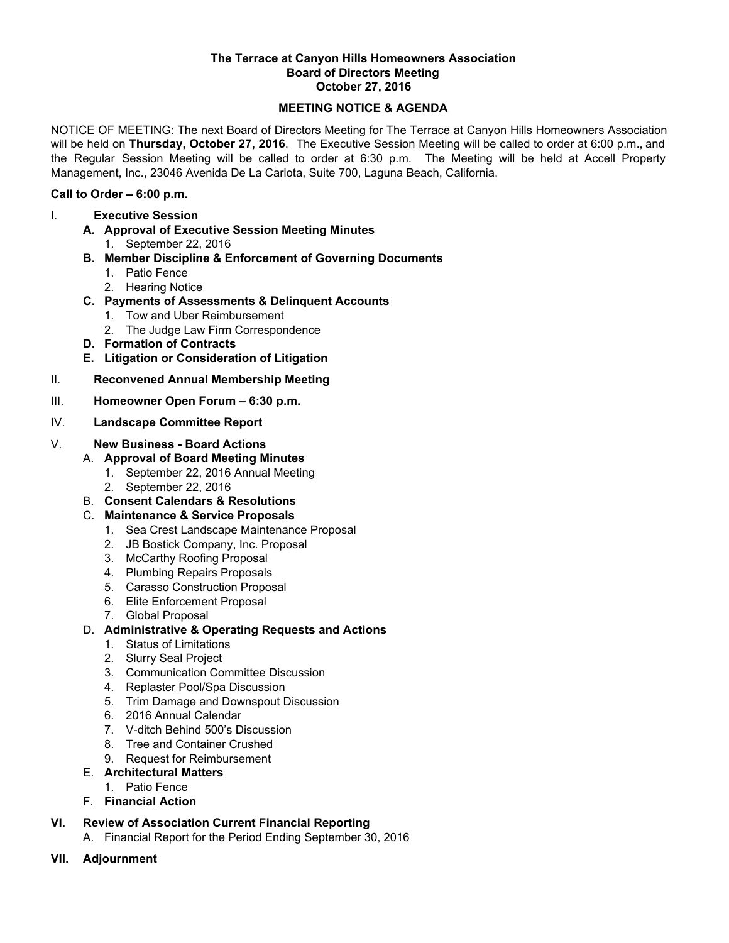#### **The Terrace at Canyon Hills Homeowners Association Board of Directors Meeting October 27, 2016**

### **MEETING NOTICE & AGENDA**

NOTICE OF MEETING: The next Board of Directors Meeting for The Terrace at Canyon Hills Homeowners Association will be held on **Thursday, October 27, 2016**. The Executive Session Meeting will be called to order at 6:00 p.m., and the Regular Session Meeting will be called to order at 6:30 p.m. The Meeting will be held at Accell Property Management, Inc., 23046 Avenida De La Carlota, Suite 700, Laguna Beach, California.

### **Call to Order – 6:00 p.m.**

- I. **Executive Session**
	- **A. Approval of Executive Session Meeting Minutes**
		- 1. September 22, 2016
	- **B. Member Discipline & Enforcement of Governing Documents**
		- 1. Patio Fence
		- 2. Hearing Notice
	- **C. Payments of Assessments & Delinquent Accounts**
		- 1. Tow and Uber Reimbursement
		- 2. The Judge Law Firm Correspondence
	- **D. Formation of Contracts**
	- **E. Litigation or Consideration of Litigation**
- II. **Reconvened Annual Membership Meeting**
- III. **Homeowner Open Forum 6:30 p.m.**
- IV. **Landscape Committee Report**

### V. **New Business - Board Actions**

- A. **Approval of Board Meeting Minutes**
	- 1. September 22, 2016 Annual Meeting
	- 2. September 22, 2016
- B. **Consent Calendars & Resolutions**
- C. **Maintenance & Service Proposals**
	- 1. Sea Crest Landscape Maintenance Proposal
	- 2. JB Bostick Company, Inc. Proposal
	- 3. McCarthy Roofing Proposal
	- 4. Plumbing Repairs Proposals
	- 5. Carasso Construction Proposal
	- 6. Elite Enforcement Proposal
	- 7. Global Proposal
- D. **Administrative & Operating Requests and Actions**
	- 1. Status of Limitations
	- 2. Slurry Seal Project
	- 3. Communication Committee Discussion
	- 4. Replaster Pool/Spa Discussion
	- 5. Trim Damage and Downspout Discussion
	- 6. 2016 Annual Calendar
	- 7. V-ditch Behind 500's Discussion
	- 8. Tree and Container Crushed
	- 9. Request for Reimbursement

## E. **Architectural Matters**

- 1. Patio Fence
- F. **Financial Action**

# **VI. Review of Association Current Financial Reporting**

- A. Financial Report for the Period Ending September 30, 2016
- **VII. Adjournment**